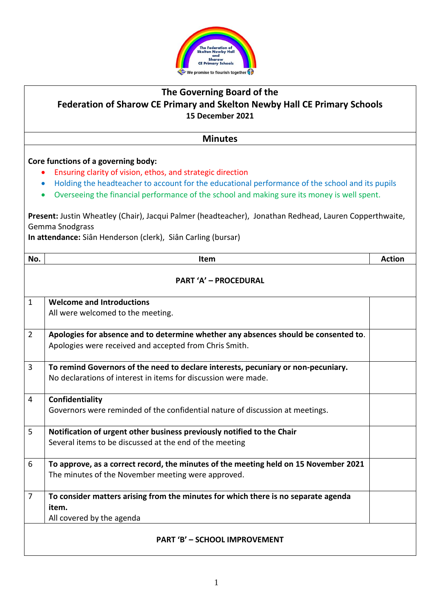

## **The Governing Board of the Federation of Sharow CE Primary and Skelton Newby Hall CE Primary Schools 15 December 2021**

**Minutes**

## **Core functions of a governing body:**

- Ensuring clarity of vision, ethos, and strategic direction
- Holding the headteacher to account for the educational performance of the school and its pupils
- Overseeing the financial performance of the school and making sure its money is well spent.

**Present:** Justin Wheatley (Chair), Jacqui Palmer (headteacher), Jonathan Redhead, Lauren Copperthwaite, Gemma Snodgrass

**In attendance:** Siân Henderson (clerk), Siân Carling (bursar)

| No.                                  | Item                                                                                                                                                | <b>Action</b> |
|--------------------------------------|-----------------------------------------------------------------------------------------------------------------------------------------------------|---------------|
| <b>PART 'A' - PROCEDURAL</b>         |                                                                                                                                                     |               |
| $\mathbf{1}$                         | <b>Welcome and Introductions</b><br>All were welcomed to the meeting.                                                                               |               |
| $\overline{2}$                       | Apologies for absence and to determine whether any absences should be consented to.<br>Apologies were received and accepted from Chris Smith.       |               |
| $\overline{3}$                       | To remind Governors of the need to declare interests, pecuniary or non-pecuniary.<br>No declarations of interest in items for discussion were made. |               |
| $\overline{4}$                       | Confidentiality<br>Governors were reminded of the confidential nature of discussion at meetings.                                                    |               |
| 5                                    | Notification of urgent other business previously notified to the Chair<br>Several items to be discussed at the end of the meeting                   |               |
| 6                                    | To approve, as a correct record, the minutes of the meeting held on 15 November 2021<br>The minutes of the November meeting were approved.          |               |
| $\overline{7}$                       | To consider matters arising from the minutes for which there is no separate agenda<br>item.<br>All covered by the agenda                            |               |
| <b>PART 'B' - SCHOOL IMPROVEMENT</b> |                                                                                                                                                     |               |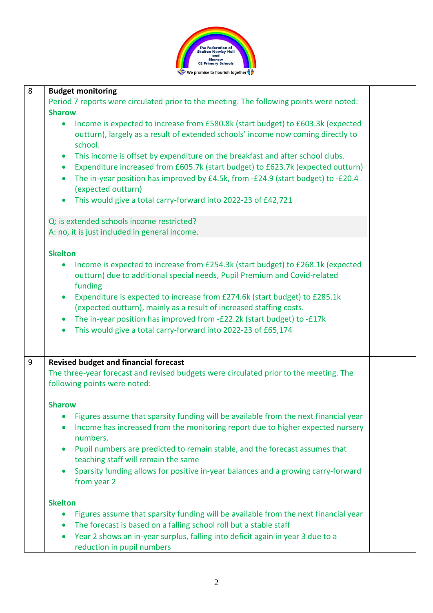

| 8 | <b>Budget monitoring</b>                                                                                                                                                                                                                                                                                                                                                                                                                                                                                                                                                                       |  |
|---|------------------------------------------------------------------------------------------------------------------------------------------------------------------------------------------------------------------------------------------------------------------------------------------------------------------------------------------------------------------------------------------------------------------------------------------------------------------------------------------------------------------------------------------------------------------------------------------------|--|
|   | Period 7 reports were circulated prior to the meeting. The following points were noted:                                                                                                                                                                                                                                                                                                                                                                                                                                                                                                        |  |
|   | <b>Sharow</b>                                                                                                                                                                                                                                                                                                                                                                                                                                                                                                                                                                                  |  |
|   | Income is expected to increase from £580.8k (start budget) to £603.3k (expected<br>$\bullet$<br>outturn), largely as a result of extended schools' income now coming directly to<br>school.<br>This income is offset by expenditure on the breakfast and after school clubs.<br>$\bullet$<br>Expenditure increased from £605.7k (start budget) to £623.7k (expected outturn)<br>$\bullet$<br>The in-year position has improved by £4.5k, from -£24.9 (start budget) to -£20.4<br>$\bullet$<br>(expected outturn)<br>This would give a total carry-forward into 2022-23 of £42,721<br>$\bullet$ |  |
|   | Q: is extended schools income restricted?                                                                                                                                                                                                                                                                                                                                                                                                                                                                                                                                                      |  |
|   | A: no, it is just included in general income.                                                                                                                                                                                                                                                                                                                                                                                                                                                                                                                                                  |  |
|   |                                                                                                                                                                                                                                                                                                                                                                                                                                                                                                                                                                                                |  |
|   | <b>Skelton</b>                                                                                                                                                                                                                                                                                                                                                                                                                                                                                                                                                                                 |  |
|   | Income is expected to increase from £254.3k (start budget) to £268.1k (expected<br>outturn) due to additional special needs, Pupil Premium and Covid-related<br>funding                                                                                                                                                                                                                                                                                                                                                                                                                        |  |
|   | Expenditure is expected to increase from £274.6k (start budget) to £285.1k<br>$\bullet$                                                                                                                                                                                                                                                                                                                                                                                                                                                                                                        |  |
|   | (expected outturn), mainly as a result of increased staffing costs.                                                                                                                                                                                                                                                                                                                                                                                                                                                                                                                            |  |
|   | The in-year position has improved from -£22.2k (start budget) to -£17k<br>$\bullet$                                                                                                                                                                                                                                                                                                                                                                                                                                                                                                            |  |
|   | This would give a total carry-forward into 2022-23 of £65,174                                                                                                                                                                                                                                                                                                                                                                                                                                                                                                                                  |  |
| 9 | <b>Revised budget and financial forecast</b>                                                                                                                                                                                                                                                                                                                                                                                                                                                                                                                                                   |  |
|   | The three-year forecast and revised budgets were circulated prior to the meeting. The<br>following points were noted:                                                                                                                                                                                                                                                                                                                                                                                                                                                                          |  |
|   | <b>Sharow</b>                                                                                                                                                                                                                                                                                                                                                                                                                                                                                                                                                                                  |  |
|   | Figures assume that sparsity funding will be available from the next financial year                                                                                                                                                                                                                                                                                                                                                                                                                                                                                                            |  |
|   | Income has increased from the monitoring report due to higher expected nursery<br>numbers.                                                                                                                                                                                                                                                                                                                                                                                                                                                                                                     |  |
|   | Pupil numbers are predicted to remain stable, and the forecast assumes that<br>$\bullet$<br>teaching staff will remain the same                                                                                                                                                                                                                                                                                                                                                                                                                                                                |  |
|   | Sparsity funding allows for positive in-year balances and a growing carry-forward<br>$\bullet$<br>from year 2                                                                                                                                                                                                                                                                                                                                                                                                                                                                                  |  |
|   | <b>Skelton</b>                                                                                                                                                                                                                                                                                                                                                                                                                                                                                                                                                                                 |  |
|   | Figures assume that sparsity funding will be available from the next financial year                                                                                                                                                                                                                                                                                                                                                                                                                                                                                                            |  |
|   | The forecast is based on a falling school roll but a stable staff                                                                                                                                                                                                                                                                                                                                                                                                                                                                                                                              |  |
|   | Year 2 shows an in-year surplus, falling into deficit again in year 3 due to a<br>$\bullet$<br>reduction in pupil numbers                                                                                                                                                                                                                                                                                                                                                                                                                                                                      |  |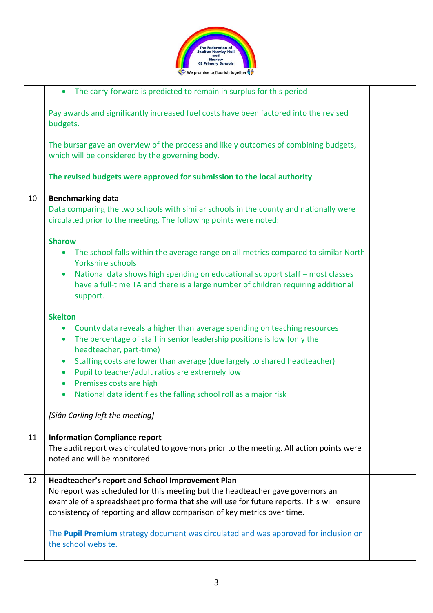

|    | The carry-forward is predicted to remain in surplus for this period<br>$\bullet$                                                                                                           |  |
|----|--------------------------------------------------------------------------------------------------------------------------------------------------------------------------------------------|--|
|    | Pay awards and significantly increased fuel costs have been factored into the revised<br>budgets.                                                                                          |  |
|    | The bursar gave an overview of the process and likely outcomes of combining budgets,<br>which will be considered by the governing body.                                                    |  |
|    | The revised budgets were approved for submission to the local authority                                                                                                                    |  |
| 10 | <b>Benchmarking data</b>                                                                                                                                                                   |  |
|    | Data comparing the two schools with similar schools in the county and nationally were<br>circulated prior to the meeting. The following points were noted:                                 |  |
|    | <b>Sharow</b>                                                                                                                                                                              |  |
|    | The school falls within the average range on all metrics compared to similar North<br>$\bullet$<br>Yorkshire schools                                                                       |  |
|    | National data shows high spending on educational support staff - most classes<br>$\bullet$<br>have a full-time TA and there is a large number of children requiring additional<br>support. |  |
|    | <b>Skelton</b>                                                                                                                                                                             |  |
|    | County data reveals a higher than average spending on teaching resources<br>$\bullet$                                                                                                      |  |
|    | The percentage of staff in senior leadership positions is low (only the<br>$\bullet$<br>headteacher, part-time)                                                                            |  |
|    | Staffing costs are lower than average (due largely to shared headteacher)<br>$\bullet$                                                                                                     |  |
|    | Pupil to teacher/adult ratios are extremely low<br>$\bullet$                                                                                                                               |  |
|    | Premises costs are high<br>$\bullet$                                                                                                                                                       |  |
|    | National data identifies the falling school roll as a major risk                                                                                                                           |  |
|    | [Siân Carling left the meeting]                                                                                                                                                            |  |
| 11 | <b>Information Compliance report</b>                                                                                                                                                       |  |
|    | The audit report was circulated to governors prior to the meeting. All action points were                                                                                                  |  |
|    | noted and will be monitored.                                                                                                                                                               |  |
| 12 | Headteacher's report and School Improvement Plan                                                                                                                                           |  |
|    | No report was scheduled for this meeting but the headteacher gave governors an                                                                                                             |  |
|    | example of a spreadsheet pro forma that she will use for future reports. This will ensure<br>consistency of reporting and allow comparison of key metrics over time.                       |  |
|    |                                                                                                                                                                                            |  |
|    | The Pupil Premium strategy document was circulated and was approved for inclusion on                                                                                                       |  |
|    | the school website.                                                                                                                                                                        |  |
|    |                                                                                                                                                                                            |  |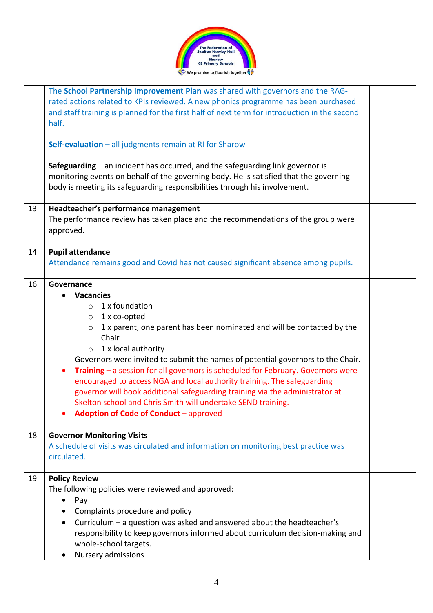

|    | The School Partnership Improvement Plan was shared with governors and the RAG-<br>rated actions related to KPIs reviewed. A new phonics programme has been purchased<br>and staff training is planned for the first half of next term for introduction in the second<br>half.<br>Self-evaluation $-$ all judgments remain at RI for Sharow<br>Safeguarding $-$ an incident has occurred, and the safeguarding link governor is<br>monitoring events on behalf of the governing body. He is satisfied that the governing<br>body is meeting its safeguarding responsibilities through his involvement.                                                              |  |
|----|--------------------------------------------------------------------------------------------------------------------------------------------------------------------------------------------------------------------------------------------------------------------------------------------------------------------------------------------------------------------------------------------------------------------------------------------------------------------------------------------------------------------------------------------------------------------------------------------------------------------------------------------------------------------|--|
| 13 | Headteacher's performance management<br>The performance review has taken place and the recommendations of the group were<br>approved.                                                                                                                                                                                                                                                                                                                                                                                                                                                                                                                              |  |
| 14 | <b>Pupil attendance</b><br>Attendance remains good and Covid has not caused significant absence among pupils.                                                                                                                                                                                                                                                                                                                                                                                                                                                                                                                                                      |  |
| 16 | Governance<br><b>Vacancies</b><br>1 x foundation<br>$\circ$<br>1 x co-opted<br>$\circ$<br>1 x parent, one parent has been nominated and will be contacted by the<br>$\circ$<br>Chair<br>1 x local authority<br>$\circ$<br>Governors were invited to submit the names of potential governors to the Chair.<br>Training - a session for all governors is scheduled for February. Governors were<br>encouraged to access NGA and local authority training. The safeguarding<br>governor will book additional safeguarding training via the administrator at<br>Skelton school and Chris Smith will undertake SEND training.<br>Adoption of Code of Conduct - approved |  |
| 18 | <b>Governor Monitoring Visits</b><br>A schedule of visits was circulated and information on monitoring best practice was<br>circulated.                                                                                                                                                                                                                                                                                                                                                                                                                                                                                                                            |  |
| 19 | <b>Policy Review</b><br>The following policies were reviewed and approved:<br>Pay<br>$\bullet$<br>Complaints procedure and policy<br>Curriculum - a question was asked and answered about the headteacher's<br>$\bullet$<br>responsibility to keep governors informed about curriculum decision-making and<br>whole-school targets.<br>Nursery admissions                                                                                                                                                                                                                                                                                                          |  |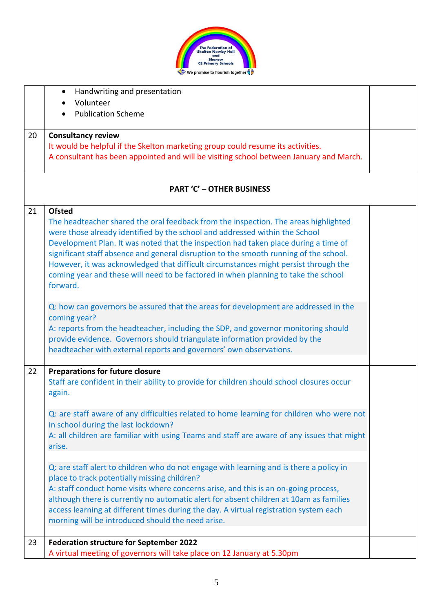

|    | Handwriting and presentation                                                               |  |
|----|--------------------------------------------------------------------------------------------|--|
|    | Volunteer                                                                                  |  |
|    | <b>Publication Scheme</b>                                                                  |  |
| 20 | <b>Consultancy review</b>                                                                  |  |
|    | It would be helpful if the Skelton marketing group could resume its activities.            |  |
|    | A consultant has been appointed and will be visiting school between January and March.     |  |
|    | <b>PART 'C' - OTHER BUSINESS</b>                                                           |  |
| 21 | <b>Ofsted</b>                                                                              |  |
|    | The headteacher shared the oral feedback from the inspection. The areas highlighted        |  |
|    | were those already identified by the school and addressed within the School                |  |
|    | Development Plan. It was noted that the inspection had taken place during a time of        |  |
|    | significant staff absence and general disruption to the smooth running of the school.      |  |
|    | However, it was acknowledged that difficult circumstances might persist through the        |  |
|    | coming year and these will need to be factored in when planning to take the school         |  |
|    | forward.                                                                                   |  |
|    | Q: how can governors be assured that the areas for development are addressed in the        |  |
|    | coming year?                                                                               |  |
|    | A: reports from the headteacher, including the SDP, and governor monitoring should         |  |
|    | provide evidence. Governors should triangulate information provided by the                 |  |
|    | headteacher with external reports and governors' own observations.                         |  |
| 22 | <b>Preparations for future closure</b>                                                     |  |
|    | Staff are confident in their ability to provide for children should school closures occur  |  |
|    | again.                                                                                     |  |
|    | Q: are staff aware of any difficulties related to home learning for children who were not  |  |
|    | in school during the last lockdown?                                                        |  |
|    | A: all children are familiar with using Teams and staff are aware of any issues that might |  |
|    | arise.                                                                                     |  |
|    | Q: are staff alert to children who do not engage with learning and is there a policy in    |  |
|    | place to track potentially missing children?                                               |  |
|    | A: staff conduct home visits where concerns arise, and this is an on-going process,        |  |
|    | although there is currently no automatic alert for absent children at 10am as families     |  |
|    | access learning at different times during the day. A virtual registration system each      |  |
|    | morning will be introduced should the need arise.                                          |  |
| 23 | <b>Federation structure for September 2022</b>                                             |  |
|    | A virtual meeting of governors will take place on 12 January at 5.30pm                     |  |